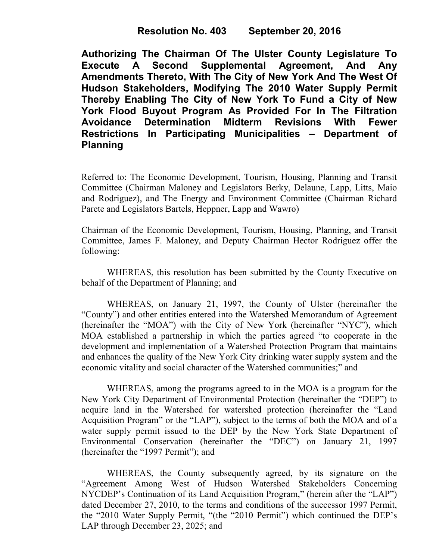**Authorizing The Chairman Of The Ulster County Legislature To Execute A Second Supplemental Agreement, And Any Amendments Thereto, With The City of New York And The West Of Hudson Stakeholders, Modifying The 2010 Water Supply Permit Thereby Enabling The City of New York To Fund a City of New York Flood Buyout Program As Provided For In The Filtration Avoidance Determination Midterm Revisions With Fewer Restrictions In Participating Municipalities – Department of Planning**

Referred to: The Economic Development, Tourism, Housing, Planning and Transit Committee (Chairman Maloney and Legislators Berky, Delaune, Lapp, Litts, Maio and Rodriguez), and The Energy and Environment Committee (Chairman Richard Parete and Legislators Bartels, Heppner, Lapp and Wawro)

Chairman of the Economic Development, Tourism, Housing, Planning, and Transit Committee, James F. Maloney, and Deputy Chairman Hector Rodriguez offer the following:

WHEREAS, this resolution has been submitted by the County Executive on behalf of the Department of Planning; and

WHEREAS, on January 21, 1997, the County of Ulster (hereinafter the "County") and other entities entered into the Watershed Memorandum of Agreement (hereinafter the "MOA") with the City of New York (hereinafter "NYC"), which MOA established a partnership in which the parties agreed "to cooperate in the development and implementation of a Watershed Protection Program that maintains and enhances the quality of the New York City drinking water supply system and the economic vitality and social character of the Watershed communities;" and

WHEREAS, among the programs agreed to in the MOA is a program for the New York City Department of Environmental Protection (hereinafter the "DEP") to acquire land in the Watershed for watershed protection (hereinafter the "Land Acquisition Program" or the "LAP"), subject to the terms of both the MOA and of a water supply permit issued to the DEP by the New York State Department of Environmental Conservation (hereinafter the "DEC") on January 21, 1997 (hereinafter the "1997 Permit"); and

 WHEREAS, the County subsequently agreed, by its signature on the "Agreement Among West of Hudson Watershed Stakeholders Concerning NYCDEP's Continuation of its Land Acquisition Program," (herein after the "LAP") dated December 27, 2010, to the terms and conditions of the successor 1997 Permit, the "2010 Water Supply Permit, "(the "2010 Permit") which continued the DEP's LAP through December 23, 2025; and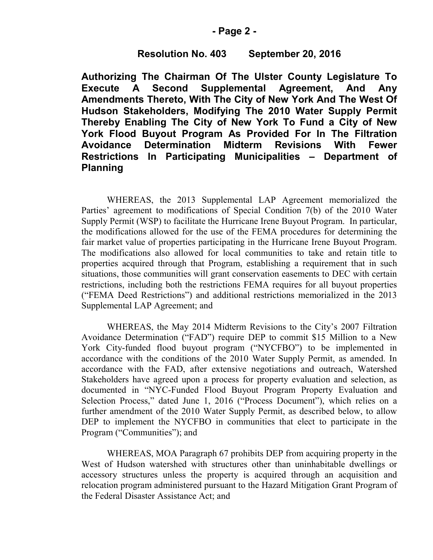### **- Page 2 -**

## **Resolution No. 403 September 20, 2016**

**Authorizing The Chairman Of The Ulster County Legislature To Execute A Second Supplemental Agreement, And Any Amendments Thereto, With The City of New York And The West Of Hudson Stakeholders, Modifying The 2010 Water Supply Permit Thereby Enabling The City of New York To Fund a City of New York Flood Buyout Program As Provided For In The Filtration Avoidance Determination Midterm Revisions With Fewer Restrictions In Participating Municipalities – Department of Planning**

WHEREAS, the 2013 Supplemental LAP Agreement memorialized the Parties' agreement to modifications of Special Condition 7(b) of the 2010 Water Supply Permit (WSP) to facilitate the Hurricane Irene Buyout Program. In particular, the modifications allowed for the use of the FEMA procedures for determining the fair market value of properties participating in the Hurricane Irene Buyout Program. The modifications also allowed for local communities to take and retain title to properties acquired through that Program, establishing a requirement that in such situations, those communities will grant conservation easements to DEC with certain restrictions, including both the restrictions FEMA requires for all buyout properties ("FEMA Deed Restrictions") and additional restrictions memorialized in the 2013 Supplemental LAP Agreement; and

WHEREAS, the May 2014 Midterm Revisions to the City's 2007 Filtration Avoidance Determination ("FAD") require DEP to commit \$15 Million to a New York City-funded flood buyout program ("NYCFBO") to be implemented in accordance with the conditions of the 2010 Water Supply Permit, as amended. In accordance with the FAD, after extensive negotiations and outreach, Watershed Stakeholders have agreed upon a process for property evaluation and selection, as documented in "NYC-Funded Flood Buyout Program Property Evaluation and Selection Process," dated June 1, 2016 ("Process Document"), which relies on a further amendment of the 2010 Water Supply Permit, as described below, to allow DEP to implement the NYCFBO in communities that elect to participate in the Program ("Communities"); and

 WHEREAS, MOA Paragraph 67 prohibits DEP from acquiring property in the West of Hudson watershed with structures other than uninhabitable dwellings or accessory structures unless the property is acquired through an acquisition and relocation program administered pursuant to the Hazard Mitigation Grant Program of the Federal Disaster Assistance Act; and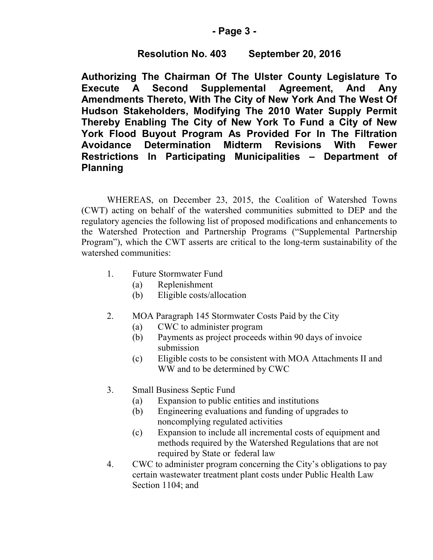# **- Page 3 -**

# **Resolution No. 403 September 20, 2016**

**Authorizing The Chairman Of The Ulster County Legislature To Execute A Second Supplemental Agreement, And Any Amendments Thereto, With The City of New York And The West Of Hudson Stakeholders, Modifying The 2010 Water Supply Permit Thereby Enabling The City of New York To Fund a City of New York Flood Buyout Program As Provided For In The Filtration Avoidance Determination Midterm Revisions With Fewer Restrictions In Participating Municipalities – Department of Planning**

WHEREAS, on December 23, 2015, the Coalition of Watershed Towns (CWT) acting on behalf of the watershed communities submitted to DEP and the regulatory agencies the following list of proposed modifications and enhancements to the Watershed Protection and Partnership Programs ("Supplemental Partnership Program"), which the CWT asserts are critical to the long-term sustainability of the watershed communities:

- 1. Future Stormwater Fund
	- (a) Replenishment
	- (b) Eligible costs/allocation
- 2. MOA Paragraph 145 Stormwater Costs Paid by the City
	- (a) CWC to administer program
	- (b) Payments as project proceeds within 90 days of invoice submission
	- (c) Eligible costs to be consistent with MOA Attachments II and WW and to be determined by CWC
- 3. Small Business Septic Fund
	- (a) Expansion to public entities and institutions
	- (b) Engineering evaluations and funding of upgrades to noncomplying regulated activities
	- (c) Expansion to include all incremental costs of equipment and methods required by the Watershed Regulations that are not required by State or federal law
- 4. CWC to administer program concerning the City's obligations to pay certain wastewater treatment plant costs under Public Health Law Section 1104; and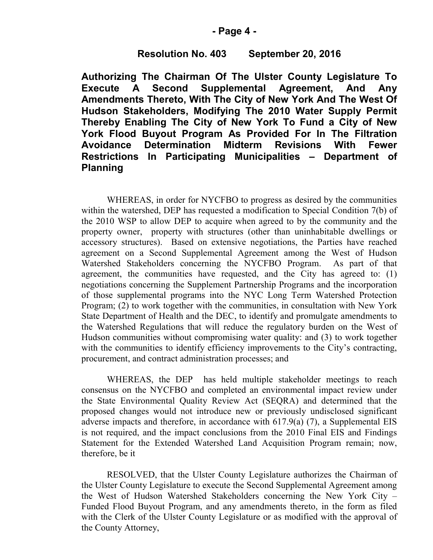#### **- Page 4 -**

### **Resolution No. 403 September 20, 2016**

**Authorizing The Chairman Of The Ulster County Legislature To Execute A Second Supplemental Agreement, And Any Amendments Thereto, With The City of New York And The West Of Hudson Stakeholders, Modifying The 2010 Water Supply Permit Thereby Enabling The City of New York To Fund a City of New York Flood Buyout Program As Provided For In The Filtration Avoidance Determination Midterm Revisions With Fewer Restrictions In Participating Municipalities – Department of Planning**

WHEREAS, in order for NYCFBO to progress as desired by the communities within the watershed, DEP has requested a modification to Special Condition 7(b) of the 2010 WSP to allow DEP to acquire when agreed to by the community and the property owner, property with structures (other than uninhabitable dwellings or accessory structures). Based on extensive negotiations, the Parties have reached agreement on a Second Supplemental Agreement among the West of Hudson Watershed Stakeholders concerning the NYCFBO Program. As part of that agreement, the communities have requested, and the City has agreed to: (1) negotiations concerning the Supplement Partnership Programs and the incorporation of those supplemental programs into the NYC Long Term Watershed Protection Program; (2) to work together with the communities, in consultation with New York State Department of Health and the DEC, to identify and promulgate amendments to the Watershed Regulations that will reduce the regulatory burden on the West of Hudson communities without compromising water quality: and (3) to work together with the communities to identify efficiency improvements to the City's contracting, procurement, and contract administration processes; and

WHEREAS, the DEP has held multiple stakeholder meetings to reach consensus on the NYCFBO and completed an environmental impact review under the State Environmental Quality Review Act (SEQRA) and determined that the proposed changes would not introduce new or previously undisclosed significant adverse impacts and therefore, in accordance with 617.9(a) (7), a Supplemental EIS is not required, and the impact conclusions from the 2010 Final EIS and Findings Statement for the Extended Watershed Land Acquisition Program remain; now, therefore, be it

RESOLVED, that the Ulster County Legislature authorizes the Chairman of the Ulster County Legislature to execute the Second Supplemental Agreement among the West of Hudson Watershed Stakeholders concerning the New York City – Funded Flood Buyout Program, and any amendments thereto, in the form as filed with the Clerk of the Ulster County Legislature or as modified with the approval of the County Attorney,